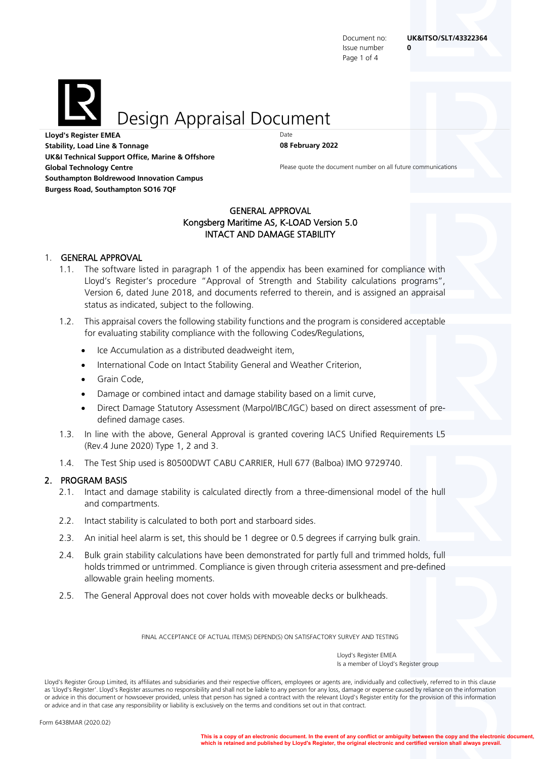Issue number **0** Page 1 of 4

Design Appraisal Document

**Lloyd's Register EMEA Stability, Load Line & Tonnage 08 February 2022 UK&I Technical Support Office, Marine & Offshore Global Technology Centre Please quote the document number on all future communications Southampton Boldrewood Innovation Campus Burgess Road, Southampton SO16 7QF**

### GENERAL APPROVAL Kongsberg Maritime AS, K-LOAD Version 5.0 INTACT AND DAMAGE STABILITY

#### 1. GENERAL APPROVAL

- 1.1. The software listed in paragraph 1 of the appendix has been examined for compliance with Lloyd's Register's procedure "Approval of Strength and Stability calculations programs", Version 6, dated June 2018, and documents referred to therein, and is assigned an appraisal status as indicated, subject to the following.
- 1.2. This appraisal covers the following stability functions and the program is considered acceptable for evaluating stability compliance with the following Codes/Regulations,
	- Ice Accumulation as a distributed deadweight item,
	- International Code on Intact Stability General and Weather Criterion,
	- Grain Code,
	- Damage or combined intact and damage stability based on a limit curve,
	- Direct Damage Statutory Assessment (Marpol/IBC/IGC) based on direct assessment of predefined damage cases.
- 1.3. In line with the above, General Approval is granted covering IACS Unified Requirements L5 (Rev.4 June 2020) Type 1, 2 and 3.
- 1.4. The Test Ship used is 80500DWT CABU CARRIER, Hull 677 (Balboa) IMO 9729740.

## 2. PROGRAM BASIS

- 2.1. Intact and damage stability is calculated directly from a three-dimensional model of the hull and compartments.
- 2.2. Intact stability is calculated to both port and starboard sides.
- 2.3. An initial heel alarm is set, this should be 1 degree or 0.5 degrees if carrying bulk grain.
- 2.4. Bulk grain stability calculations have been demonstrated for partly full and trimmed holds, full holds trimmed or untrimmed. Compliance is given through criteria assessment and pre-defined allowable grain heeling moments.
- 2.5. The General Approval does not cover holds with moveable decks or bulkheads.

FINAL ACCEPTANCE OF ACTUAL ITEM(S) DEPEND(S) ON SATISFACTORY SURVEY AND TESTING

Lloyd's Register Group Limited, its affiliates and subsidiaries and their respective officers, employees or agents are, individually and collectively, referred to in this clause as 'Lloyd's Register'. Lloyd's Register assumes no responsibility and shall not be liable to any person for any loss, damage or expense caused by reliance on the information or advice in this document or howsoever provided, unless that person has signed a contract with the relevant Lloyd's Register entity for the provision of this information or advice and in that case any responsibility or liability is exclusively on the terms and conditions set out in that contract.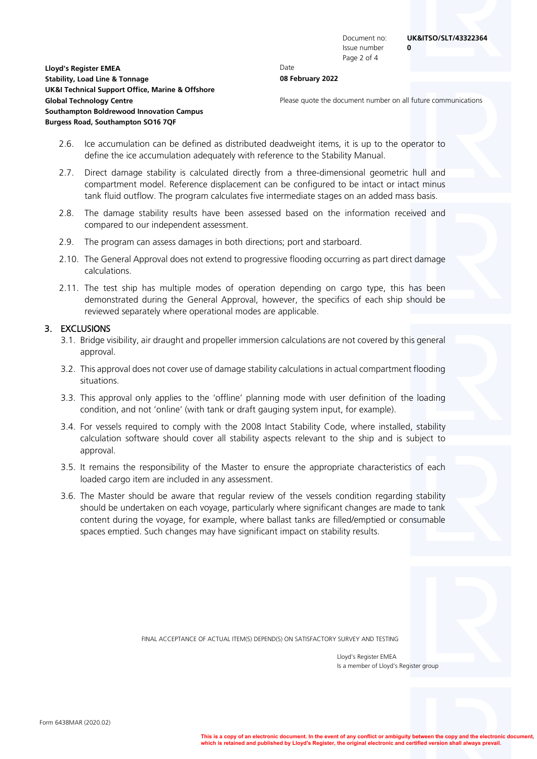Issue number **0** Page 2 of 4

# **Lloyd's Register EMEA** Date

- **Stability, Load Line & Tonnage 08 February 2022 UK&I Technical Support Office, Marine & Offshore Global Technology Centre Please quote the document number on all future communications Southampton Boldrewood Innovation Campus Burgess Road, Southampton SO16 7QF**
	- 2.6. Ice accumulation can be defined as distributed deadweight items, it is up to the operator to define the ice accumulation adequately with reference to the Stability Manual.
	- 2.7. Direct damage stability is calculated directly from a three-dimensional geometric hull and compartment model. Reference displacement can be configured to be intact or intact minus tank fluid outflow. The program calculates five intermediate stages on an added mass basis.
	- 2.8. The damage stability results have been assessed based on the information received and compared to our independent assessment.
	- 2.9. The program can assess damages in both directions; port and starboard.
	- 2.10. The General Approval does not extend to progressive flooding occurring as part direct damage calculations.
	- 2.11. The test ship has multiple modes of operation depending on cargo type, this has been demonstrated during the General Approval, however, the specifics of each ship should be reviewed separately where operational modes are applicable.

#### 3. EXCLUSIONS

- 3.1. Bridge visibility, air draught and propeller immersion calculations are not covered by this general approval.
- 3.2. This approval does not cover use of damage stability calculations in actual compartment flooding situations.
- 3.3. This approval only applies to the 'offline' planning mode with user definition of the loading condition, and not 'online' (with tank or draft gauging system input, for example).
- 3.4. For vessels required to comply with the 2008 Intact Stability Code, where installed, stability calculation software should cover all stability aspects relevant to the ship and is subject to approval.
- 3.5. It remains the responsibility of the Master to ensure the appropriate characteristics of each loaded cargo item are included in any assessment.
- 3.6. The Master should be aware that regular review of the vessels condition regarding stability should be undertaken on each voyage, particularly where significant changes are made to tank content during the voyage, for example, where ballast tanks are filled/emptied or consumable spaces emptied. Such changes may have significant impact on stability results.



FINAL ACCEPTANCE OF ACTUAL ITEM(S) DEPEND(S) ON SATISFACTORY SURVEY AND TESTING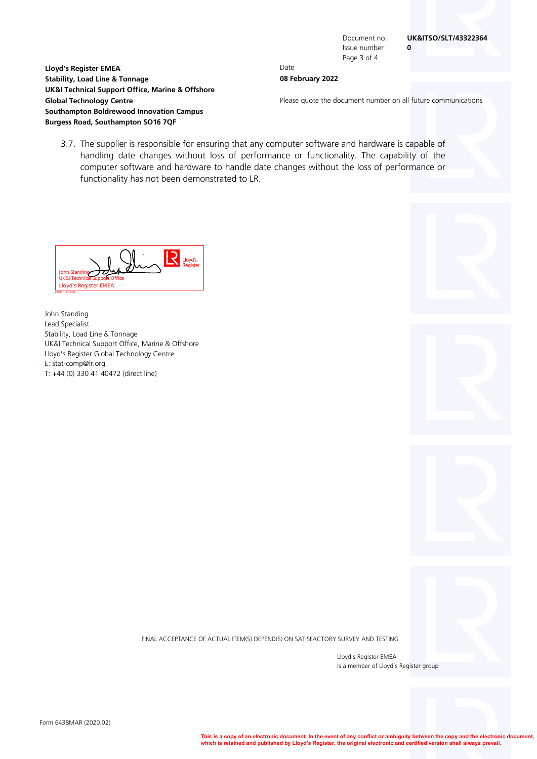Document no: **UK&ITSO/SLT/43322364**

Issue number **0** Page 3 of 4

#### **Lloyd's Register EMEA** Date **Stability, Load Line & Tonnage 08 February 2022**

**Global Technology Centre Please quote the document number on all future communications** 

3.7. The supplier is responsible for ensuring that any computer software and hardware is capable of handling date changes without loss of performance or functionality. The capability of the computer software and hardware to handle date changes without the loss of performance or functionality has not been demonstrated to LR.



**UK&I Technical Support Office, Marine & Offshore**

**Southampton Boldrewood Innovation Campus Burgess Road, Southampton SO16 7QF**

John Standing Lead Specialist Stability, Load Line & Tonnage UK&I Technical Support Office, Marine & Offshore Lloyd's Register Global Technology Centre E: stat-comp@lr.org T: +44 (0) 330 41 40472 (direct line)

FINAL ACCEPTANCE OF ACTUAL ITEM(S) DEPEND(S) ON SATISFACTORY SURVEY AND TESTING